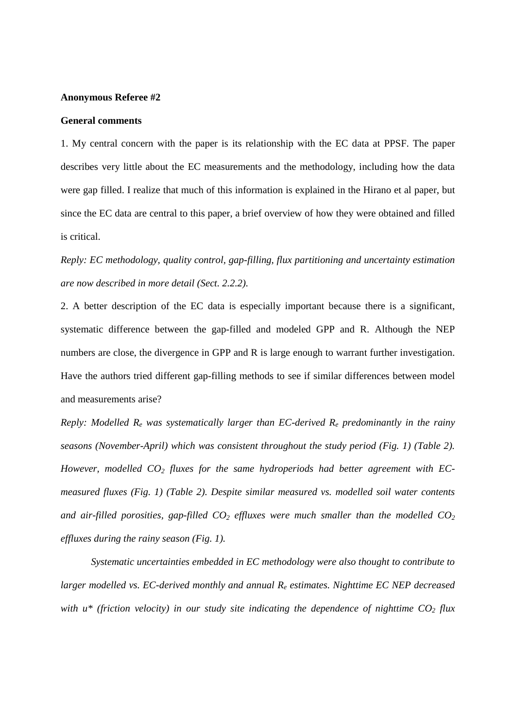## **Anonymous Referee #2**

## **General comments**

1. My central concern with the paper is its relationship with the EC data at PPSF. The paper describes very little about the EC measurements and the methodology, including how the data were gap filled. I realize that much of this information is explained in the Hirano et al paper, but since the EC data are central to this paper, a brief overview of how they were obtained and filled is critical.

*Reply: EC methodology, quality control, gap-filling, flux partitioning and uncertainty estimation are now described in more detail (Sect. 2.2.2).* 

2. A better description of the EC data is especially important because there is a significant, systematic difference between the gap-filled and modeled GPP and R. Although the NEP numbers are close, the divergence in GPP and R is large enough to warrant further investigation. Have the authors tried different gap-filling methods to see if similar differences between model and measurements arise?

*Reply: Modelled Re was systematically larger than EC-derived Re predominantly in the rainy seasons (November-April) which was consistent throughout the study period (Fig. 1) (Table 2). However, modelled CO2 fluxes for the same hydroperiods had better agreement with ECmeasured fluxes (Fig. 1) (Table 2). Despite similar measured vs. modelled soil water contents and air-filled porosities, gap-filled CO2 effluxes were much smaller than the modelled CO<sup>2</sup> effluxes during the rainy season (Fig. 1).* 

*Systematic uncertainties embedded in EC methodology were also thought to contribute to larger modelled vs. EC-derived monthly and annual Re estimates. Nighttime EC NEP decreased with u\* (friction velocity) in our study site indicating the dependence of nighttime CO2 flux*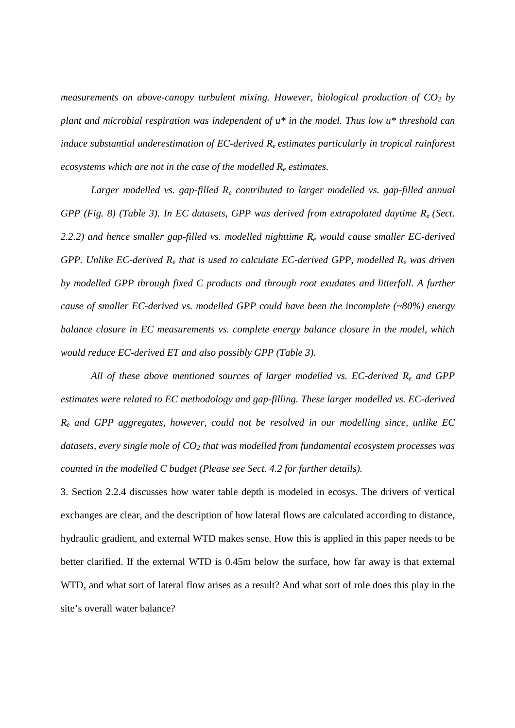*measurements on above-canopy turbulent mixing. However, biological production of CO2 by plant and microbial respiration was independent of u\* in the model. Thus low u\* threshold can induce substantial underestimation of EC-derived Re estimates particularly in tropical rainforest ecosystems which are not in the case of the modelled Re estimates.* 

 *Larger modelled vs. gap-filled Re contributed to larger modelled vs. gap-filled annual GPP (Fig. 8) (Table 3). In EC datasets, GPP was derived from extrapolated daytime Re (Sect. 2.2.2) and hence smaller gap-filled vs. modelled nighttime Re would cause smaller EC-derived GPP. Unlike EC-derived Re that is used to calculate EC-derived GPP, modelled Re was driven by modelled GPP through fixed C products and through root exudates and litterfall. A further cause of smaller EC-derived vs. modelled GPP could have been the incomplete (~80%) energy balance closure in EC measurements vs. complete energy balance closure in the model, which would reduce EC-derived ET and also possibly GPP (Table 3).* 

*All of these above mentioned sources of larger modelled vs. EC-derived Re and GPP estimates were related to EC methodology and gap-filling. These larger modelled vs. EC-derived Re and GPP aggregates, however, could not be resolved in our modelling since, unlike EC datasets, every single mole of CO2 that was modelled from fundamental ecosystem processes was counted in the modelled C budget (Please see Sect. 4.2 for further details).*

3. Section 2.2.4 discusses how water table depth is modeled in ecosys. The drivers of vertical exchanges are clear, and the description of how lateral flows are calculated according to distance, hydraulic gradient, and external WTD makes sense. How this is applied in this paper needs to be better clarified. If the external WTD is 0.45m below the surface, how far away is that external WTD, and what sort of lateral flow arises as a result? And what sort of role does this play in the site's overall water balance?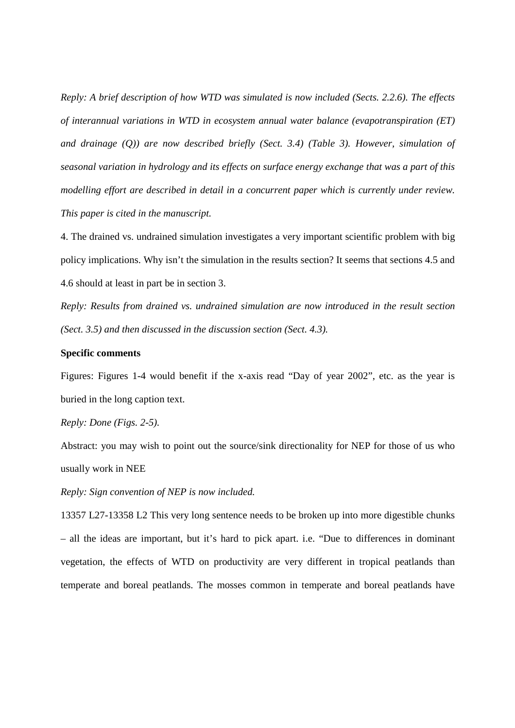*Reply: A brief description of how WTD was simulated is now included (Sects. 2.2.6). The effects of interannual variations in WTD in ecosystem annual water balance (evapotranspiration (ET) and drainage (Q)) are now described briefly (Sect. 3.4) (Table 3). However, simulation of seasonal variation in hydrology and its effects on surface energy exchange that was a part of this modelling effort are described in detail in a concurrent paper which is currently under review. This paper is cited in the manuscript.*

4. The drained vs. undrained simulation investigates a very important scientific problem with big policy implications. Why isn't the simulation in the results section? It seems that sections 4.5 and 4.6 should at least in part be in section 3.

*Reply: Results from drained vs. undrained simulation are now introduced in the result section (Sect. 3.5) and then discussed in the discussion section (Sect. 4.3).*

## **Specific comments**

Figures: Figures 1-4 would benefit if the x-axis read "Day of year 2002", etc. as the year is buried in the long caption text.

## *Reply: Done (Figs. 2-5).*

Abstract: you may wish to point out the source/sink directionality for NEP for those of us who usually work in NEE

*Reply: Sign convention of NEP is now included.*

13357 L27-13358 L2 This very long sentence needs to be broken up into more digestible chunks – all the ideas are important, but it's hard to pick apart. i.e. "Due to differences in dominant vegetation, the effects of WTD on productivity are very different in tropical peatlands than temperate and boreal peatlands. The mosses common in temperate and boreal peatlands have